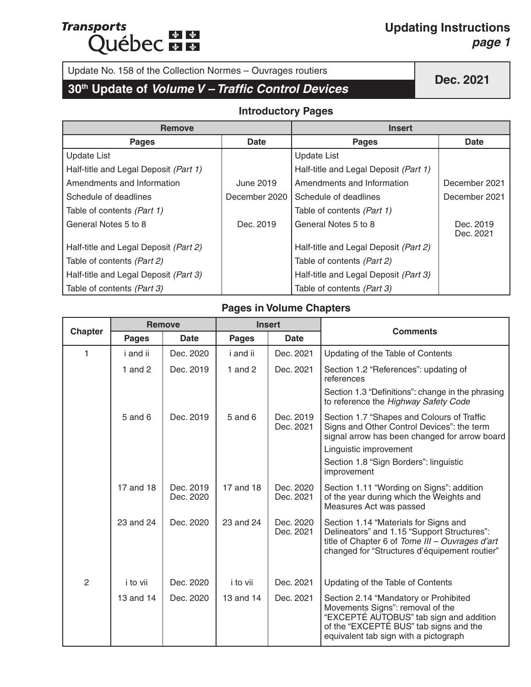## **Transports Québec marie**

#### **Updating Instructions** *page 1*

## Update No. 158 of the Collection Normes – Ouvrages routiers<br> **30<sup>th</sup> Update of** *Volume V – Traffic Control Devices*

#### **Introductory Pages**

| <b>Remove</b>                         |               | <b>Insert</b>                         |                        |  |
|---------------------------------------|---------------|---------------------------------------|------------------------|--|
| <b>Pages</b>                          | <b>Date</b>   | <b>Pages</b>                          | <b>Date</b>            |  |
| <b>Update List</b>                    |               | <b>Update List</b>                    |                        |  |
| Half-title and Legal Deposit (Part 1) |               | Half-title and Legal Deposit (Part 1) |                        |  |
| Amendments and Information            | June 2019     | Amendments and Information            | December 2021          |  |
| Schedule of deadlines                 | December 2020 | Schedule of deadlines                 | December 2021          |  |
| Table of contents (Part 1)            |               | Table of contents (Part 1)            |                        |  |
| General Notes 5 to 8                  | Dec. 2019     | General Notes 5 to 8                  | Dec. 2019<br>Dec. 2021 |  |
| Half-title and Legal Deposit (Part 2) |               | Half-title and Legal Deposit (Part 2) |                        |  |
| Table of contents (Part 2)            |               | Table of contents (Part 2)            |                        |  |
| Half-title and Legal Deposit (Part 3) |               | Half-title and Legal Deposit (Part 3) |                        |  |
| Table of contents (Part 3)            |               | Table of contents (Part 3)            |                        |  |

#### **Pages in Volume Chapters**

|                | <b>Remove</b><br><b>Insert</b> |                        |              | <b>Comments</b>        |                                                                                                                                                                                                         |
|----------------|--------------------------------|------------------------|--------------|------------------------|---------------------------------------------------------------------------------------------------------------------------------------------------------------------------------------------------------|
| <b>Chapter</b> | <b>Pages</b>                   | Date                   | <b>Pages</b> | <b>Date</b>            |                                                                                                                                                                                                         |
| 1              | i and ii                       | Dec. 2020              | i and ii     | Dec. 2021              | Updating of the Table of Contents                                                                                                                                                                       |
|                | 1 and $2$                      | Dec. 2019              | 1 and $2$    | Dec. 2021              | Section 1.2 "References": updating of<br>references                                                                                                                                                     |
|                |                                |                        |              |                        | Section 1.3 "Definitions": change in the phrasing<br>to reference the Highway Safety Code                                                                                                               |
|                | 5 and 6                        | Dec. 2019              | $5$ and $6$  | Dec. 2019<br>Dec. 2021 | Section 1.7 "Shapes and Colours of Traffic<br>Signs and Other Control Devices": the term<br>signal arrow has been changed for arrow board                                                               |
|                |                                |                        |              |                        | Linguistic improvement                                                                                                                                                                                  |
|                |                                |                        |              |                        | Section 1.8 "Sign Borders": linguistic<br>improvement                                                                                                                                                   |
|                | 17 and 18                      | Dec. 2019<br>Dec. 2020 | 17 and 18    | Dec. 2020<br>Dec. 2021 | Section 1.11 "Wording on Signs": addition<br>of the year during which the Weights and<br>Measures Act was passed                                                                                        |
|                | 23 and 24                      | Dec. 2020              | 23 and 24    | Dec. 2020<br>Dec. 2021 | Section 1.14 "Materials for Signs and<br>Delineators" and 1.15 "Support Structures":<br>title of Chapter 6 of Tome III - Ouvrages d'art<br>changed for "Structures d'équipement routier"                |
| $\overline{c}$ | i to vii                       | Dec. 2020              | i to vii     | Dec. 2021              | Updating of the Table of Contents                                                                                                                                                                       |
|                | 13 and 14                      | Dec. 2020              | 13 and 14    | Dec. 2021              | Section 2.14 "Mandatory or Prohibited<br>Movements Signs": removal of the<br>"EXCEPTÉ AUTOBUS" tab sign and addition<br>of the "EXCEPTÉ BUS" tab signs and the<br>equivalent tab sign with a pictograph |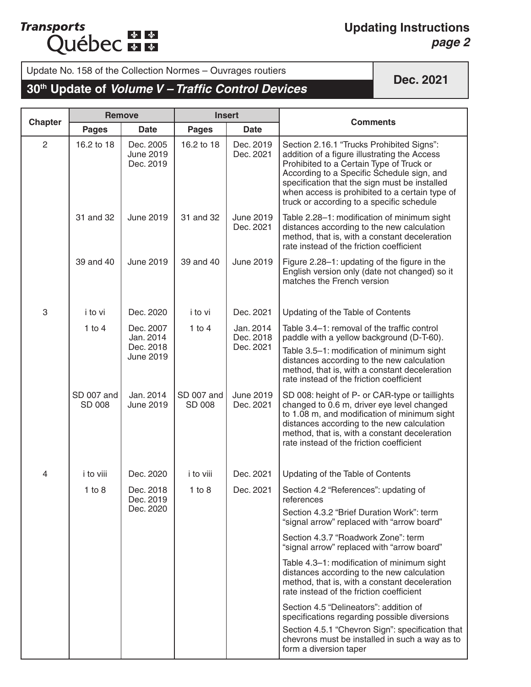#### **Updating Instructions** *page 2*

Update No. 158 of the Collection Normes – Ouvrages routiers

### **30th Update of** *Volume V – Traffic Control Devices*

|                | <b>Remove</b>        |                                            | <b>Insert</b>               |                               | <b>Comments</b>                                                                                                                                                                                                                                                                                                                     |
|----------------|----------------------|--------------------------------------------|-----------------------------|-------------------------------|-------------------------------------------------------------------------------------------------------------------------------------------------------------------------------------------------------------------------------------------------------------------------------------------------------------------------------------|
| <b>Chapter</b> | <b>Pages</b>         | <b>Date</b>                                | <b>Pages</b>                | <b>Date</b>                   |                                                                                                                                                                                                                                                                                                                                     |
| $\overline{2}$ | 16.2 to 18           | Dec. 2005<br><b>June 2019</b><br>Dec. 2019 | 16.2 to 18                  | Dec. 2019<br>Dec. 2021        | Section 2.16.1 "Trucks Prohibited Signs":<br>addition of a figure illustrating the Access<br>Prohibited to a Certain Type of Truck or<br>According to a Specific Schedule sign, and<br>specification that the sign must be installed<br>when access is prohibited to a certain type of<br>truck or according to a specific schedule |
|                | 31 and 32            | <b>June 2019</b>                           | 31 and 32                   | June 2019<br>Dec. 2021        | Table 2.28-1: modification of minimum sight<br>distances according to the new calculation<br>method, that is, with a constant deceleration<br>rate instead of the friction coefficient                                                                                                                                              |
|                | 39 and 40            | <b>June 2019</b>                           | 39 and 40                   | <b>June 2019</b>              | Figure 2.28-1: updating of the figure in the<br>English version only (date not changed) so it<br>matches the French version                                                                                                                                                                                                         |
| 3              | i to vi              | Dec. 2020                                  | i to vi                     | Dec. 2021                     | Updating of the Table of Contents                                                                                                                                                                                                                                                                                                   |
|                | $1$ to $4$           | Dec. 2007<br>Jan. 2014                     | 1 to $4$                    | Jan. 2014<br>Dec. 2018        | Table 3.4-1: removal of the traffic control<br>paddle with a yellow background (D-T-60).                                                                                                                                                                                                                                            |
|                |                      | Dec. 2018<br>June 2019                     |                             | Dec. 2021                     | Table 3.5-1: modification of minimum sight<br>distances according to the new calculation<br>method, that is, with a constant deceleration<br>rate instead of the friction coefficient                                                                                                                                               |
|                | SD 007 and<br>SD 008 | Jan. 2014<br><b>June 2019</b>              | SD 007 and<br><b>SD 008</b> | <b>June 2019</b><br>Dec. 2021 | SD 008: height of P- or CAR-type or taillights<br>changed to 0.6 m, driver eye level changed<br>to 1.08 m, and modification of minimum sight<br>distances according to the new calculation<br>method, that is, with a constant deceleration<br>rate instead of the friction coefficient                                             |
| 4              | i to viii            | Dec. 2020                                  | i to viii                   | Dec. 2021                     | Updating of the Table of Contents                                                                                                                                                                                                                                                                                                   |
|                | $1$ to $8$           | Dec. 2018<br>Dec. 2019                     | $1$ to $8$                  | Dec. 2021                     | Section 4.2 "References": updating of<br>references                                                                                                                                                                                                                                                                                 |
|                | Dec. 2020            |                                            |                             |                               | Section 4.3.2 "Brief Duration Work": term<br>"signal arrow" replaced with "arrow board"                                                                                                                                                                                                                                             |
|                |                      |                                            |                             |                               | Section 4.3.7 "Roadwork Zone": term<br>"signal arrow" replaced with "arrow board"                                                                                                                                                                                                                                                   |
|                |                      |                                            |                             |                               | Table 4.3-1: modification of minimum sight<br>distances according to the new calculation<br>method, that is, with a constant deceleration<br>rate instead of the friction coefficient                                                                                                                                               |
|                |                      |                                            |                             |                               | Section 4.5 "Delineators": addition of<br>specifications regarding possible diversions                                                                                                                                                                                                                                              |
|                |                      |                                            |                             |                               | Section 4.5.1 "Chevron Sign": specification that<br>chevrons must be installed in such a way as to<br>form a diversion taper                                                                                                                                                                                                        |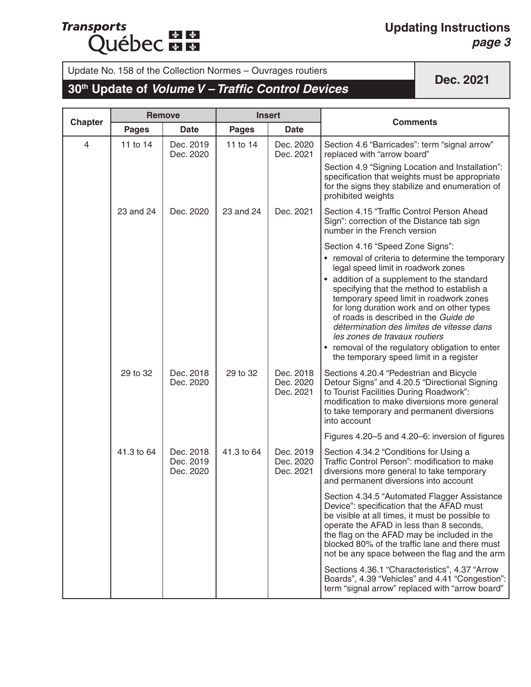## **Transports Québec**

#### **Updating Instructions** *page 3*

# Update No. 158 of the Collection Normes – Ouvrages routiers<br> **30<sup>th</sup> Update of** *Volume V – Traffic Control Devices*

|                |              | <b>Remove</b>                       | <b>Insert</b> |                                     | <b>Comments</b>                                                                                                                                                                                                                                                                                                                                                                                                                                                                                                                     |
|----------------|--------------|-------------------------------------|---------------|-------------------------------------|-------------------------------------------------------------------------------------------------------------------------------------------------------------------------------------------------------------------------------------------------------------------------------------------------------------------------------------------------------------------------------------------------------------------------------------------------------------------------------------------------------------------------------------|
| <b>Chapter</b> | <b>Pages</b> | <b>Date</b>                         | <b>Pages</b>  | <b>Date</b>                         |                                                                                                                                                                                                                                                                                                                                                                                                                                                                                                                                     |
| $\overline{4}$ | 11 to 14     | Dec. 2019<br>Dec. 2020              | 11 to 14      | Dec. 2020<br>Dec. 2021              | Section 4.6 "Barricades": term "signal arrow"<br>replaced with "arrow board"                                                                                                                                                                                                                                                                                                                                                                                                                                                        |
|                |              |                                     |               |                                     | Section 4.9 "Signing Location and Installation":<br>specification that weights must be appropriate<br>for the signs they stabilize and enumeration of<br>prohibited weights                                                                                                                                                                                                                                                                                                                                                         |
|                | 23 and 24    | Dec. 2020                           | 23 and 24     | Dec. 2021                           | Section 4.15 "Traffic Control Person Ahead<br>Sign": correction of the Distance tab sign<br>number in the French version                                                                                                                                                                                                                                                                                                                                                                                                            |
|                |              |                                     |               |                                     | Section 4.16 "Speed Zone Signs":<br>• removal of criteria to determine the temporary<br>legal speed limit in roadwork zones<br>• addition of a supplement to the standard<br>specifying that the method to establish a<br>temporary speed limit in roadwork zones<br>for long duration work and on other types<br>of roads is described in the Guide de<br>détermination des limites de vitesse dans<br>les zones de travaux routiers<br>• removal of the regulatory obligation to enter<br>the temporary speed limit in a register |
|                | 29 to 32     | Dec. 2018<br>Dec. 2020              | 29 to 32      | Dec. 2018<br>Dec. 2020<br>Dec. 2021 | Sections 4.20.4 "Pedestrian and Bicycle<br>Detour Signs" and 4.20.5 "Directional Signing<br>to Tourist Facilities During Roadwork":<br>modification to make diversions more general<br>to take temporary and permanent diversions<br>into account                                                                                                                                                                                                                                                                                   |
|                |              |                                     |               |                                     | Figures 4.20-5 and 4.20-6: inversion of figures                                                                                                                                                                                                                                                                                                                                                                                                                                                                                     |
|                | 41.3 to 64   | Dec. 2018<br>Dec. 2019<br>Dec. 2020 | 41.3 to 64    | Dec. 2019<br>Dec. 2020<br>Dec. 2021 | Section 4.34.2 "Conditions for Using a<br>Traffic Control Person": modification to make<br>diversions more general to take temporary<br>and permanent diversions into account                                                                                                                                                                                                                                                                                                                                                       |
|                |              |                                     |               |                                     | Section 4.34.5 "Automated Flagger Assistance<br>Device": specification that the AFAD must<br>be visible at all times, it must be possible to<br>operate the AFAD in less than 8 seconds,<br>the flag on the AFAD may be included in the<br>blocked 80% of the traffic lane and there must<br>not be any space between the flag and the arm                                                                                                                                                                                          |
|                |              |                                     |               |                                     | Sections 4.36.1 "Characteristics", 4.37 "Arrow<br>Boards", 4.39 "Vehicles" and 4.41 "Congestion":<br>term "signal arrow" replaced with "arrow board"                                                                                                                                                                                                                                                                                                                                                                                |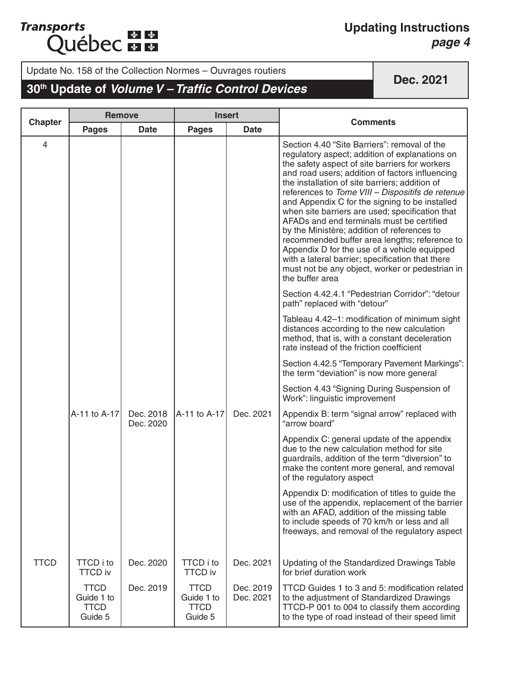#### **Updating Instructions** *page 4*

Update No. 158 of the Collection Normes – Ouvrages routiers

### **30th Update of** *Volume V – Traffic Control Devices*

|                | <b>Remove</b>                                       |                        | <b>Insert</b>                                       |                        |                                                                                                                                                                                                                                                                                                                                                                                                                                                                                                                                                                                                                                                                                                                                       |
|----------------|-----------------------------------------------------|------------------------|-----------------------------------------------------|------------------------|---------------------------------------------------------------------------------------------------------------------------------------------------------------------------------------------------------------------------------------------------------------------------------------------------------------------------------------------------------------------------------------------------------------------------------------------------------------------------------------------------------------------------------------------------------------------------------------------------------------------------------------------------------------------------------------------------------------------------------------|
| <b>Chapter</b> | <b>Pages</b>                                        | <b>Date</b>            | <b>Pages</b>                                        | <b>Date</b>            | <b>Comments</b>                                                                                                                                                                                                                                                                                                                                                                                                                                                                                                                                                                                                                                                                                                                       |
| $\overline{4}$ |                                                     |                        |                                                     |                        | Section 4.40 "Site Barriers": removal of the<br>regulatory aspect; addition of explanations on<br>the safety aspect of site barriers for workers<br>and road users; addition of factors influencing<br>the installation of site barriers; addition of<br>references to Tome VIII - Dispositifs de retenue<br>and Appendix C for the signing to be installed<br>when site barriers are used; specification that<br>AFADs and end terminals must be certified<br>by the Ministère; addition of references to<br>recommended buffer area lengths; reference to<br>Appendix D for the use of a vehicle equipped<br>with a lateral barrier; specification that there<br>must not be any object, worker or pedestrian in<br>the buffer area |
|                |                                                     |                        |                                                     |                        | Section 4.42.4.1 "Pedestrian Corridor": "detour<br>path" replaced with "detour"                                                                                                                                                                                                                                                                                                                                                                                                                                                                                                                                                                                                                                                       |
|                |                                                     |                        |                                                     |                        | Tableau 4.42-1: modification of minimum sight<br>distances according to the new calculation<br>method, that is, with a constant deceleration<br>rate instead of the friction coefficient                                                                                                                                                                                                                                                                                                                                                                                                                                                                                                                                              |
|                |                                                     |                        |                                                     |                        | Section 4.42.5 "Temporary Pavement Markings":<br>the term "deviation" is now more general                                                                                                                                                                                                                                                                                                                                                                                                                                                                                                                                                                                                                                             |
|                |                                                     |                        |                                                     |                        | Section 4.43 "Signing During Suspension of<br>Work": linguistic improvement                                                                                                                                                                                                                                                                                                                                                                                                                                                                                                                                                                                                                                                           |
|                | A-11 to A-17                                        | Dec. 2018<br>Dec. 2020 | A-11 to A-17                                        | Dec. 2021              | Appendix B: term "signal arrow" replaced with<br>"arrow board"                                                                                                                                                                                                                                                                                                                                                                                                                                                                                                                                                                                                                                                                        |
|                |                                                     |                        |                                                     |                        | Appendix C: general update of the appendix<br>due to the new calculation method for site<br>guardrails, addition of the term "diversion" to<br>make the content more general, and removal<br>of the regulatory aspect                                                                                                                                                                                                                                                                                                                                                                                                                                                                                                                 |
|                |                                                     |                        |                                                     |                        | Appendix D: modification of titles to guide the<br>use of the appendix, replacement of the barrier<br>with an AFAD, addition of the missing table<br>to include speeds of 70 km/h or less and all<br>freeways, and removal of the regulatory aspect                                                                                                                                                                                                                                                                                                                                                                                                                                                                                   |
| <b>TTCD</b>    | <b>TTCD</b> i to<br><b>TTCD iv</b>                  | Dec. 2020              | <b>TTCD</b> i to<br><b>TTCD iv</b>                  | Dec. 2021              | Updating of the Standardized Drawings Table<br>for brief duration work                                                                                                                                                                                                                                                                                                                                                                                                                                                                                                                                                                                                                                                                |
|                | <b>TTCD</b><br>Guide 1 to<br><b>TTCD</b><br>Guide 5 | Dec. 2019              | <b>TTCD</b><br>Guide 1 to<br><b>TTCD</b><br>Guide 5 | Dec. 2019<br>Dec. 2021 | TTCD Guides 1 to 3 and 5: modification related<br>to the adjustment of Standardized Drawings<br>TTCD-P 001 to 004 to classify them according<br>to the type of road instead of their speed limit                                                                                                                                                                                                                                                                                                                                                                                                                                                                                                                                      |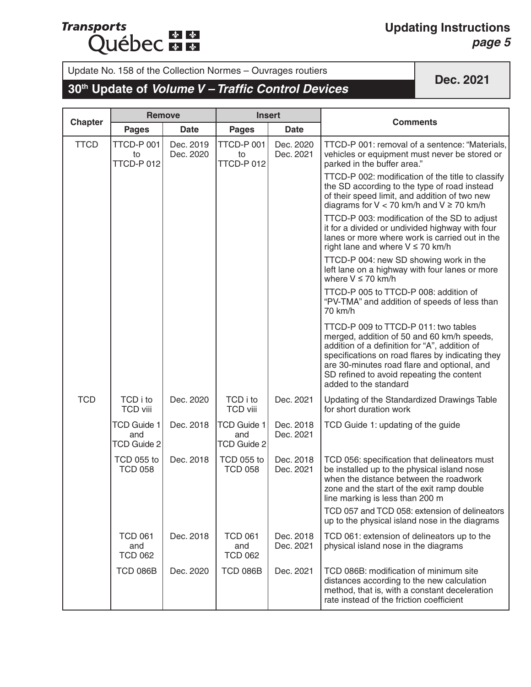## **Transports Québec**

#### **Updating Instructions** *page 5*

Update No. 158 of the Collection Normes – Ouvrages routiers<br> **30<sup>th</sup> Update of** *Volume V – Traffic Control Devices* 

|                | <b>Remove</b>                                   |                        | <b>Insert</b>                                   |                        |                                                                                                                                                                                                                                                                                                              |
|----------------|-------------------------------------------------|------------------------|-------------------------------------------------|------------------------|--------------------------------------------------------------------------------------------------------------------------------------------------------------------------------------------------------------------------------------------------------------------------------------------------------------|
| <b>Chapter</b> | <b>Pages</b>                                    | <b>Date</b>            | <b>Pages</b>                                    | <b>Date</b>            | <b>Comments</b>                                                                                                                                                                                                                                                                                              |
| <b>TTCD</b>    | TTCD-P 001<br>to<br>TTCD-P012                   | Dec. 2019<br>Dec. 2020 | TTCD-P 001<br>to<br>TTCD-P012                   | Dec. 2020<br>Dec. 2021 | TTCD-P 001: removal of a sentence: "Materials,<br>vehicles or equipment must never be stored or<br>parked in the buffer area."                                                                                                                                                                               |
|                |                                                 |                        |                                                 |                        | TTCD-P 002: modification of the title to classify<br>the SD according to the type of road instead<br>of their speed limit, and addition of two new<br>diagrams for $V < 70$ km/h and $V \ge 70$ km/h                                                                                                         |
|                |                                                 |                        |                                                 |                        | TTCD-P 003: modification of the SD to adjust<br>it for a divided or undivided highway with four<br>lanes or more where work is carried out in the<br>right lane and where $V \le 70$ km/h                                                                                                                    |
|                |                                                 |                        |                                                 |                        | TTCD-P 004: new SD showing work in the<br>left lane on a highway with four lanes or more<br>where $V \le 70$ km/h                                                                                                                                                                                            |
|                |                                                 |                        |                                                 |                        | TTCD-P 005 to TTCD-P 008: addition of<br>"PV-TMA" and addition of speeds of less than<br>70 km/h                                                                                                                                                                                                             |
|                |                                                 |                        |                                                 |                        | TTCD-P 009 to TTCD-P 011: two tables<br>merged, addition of 50 and 60 km/h speeds,<br>addition of a definition for "A", addition of<br>specifications on road flares by indicating they<br>are 30-minutes road flare and optional, and<br>SD refined to avoid repeating the content<br>added to the standard |
| <b>TCD</b>     | TCD i to<br><b>TCD viii</b>                     | Dec. 2020              | TCD i to<br><b>TCD viii</b>                     | Dec. 2021              | Updating of the Standardized Drawings Table<br>for short duration work                                                                                                                                                                                                                                       |
|                | <b>TCD Guide 1</b><br>and<br><b>TCD Guide 2</b> | Dec. 2018              | <b>TCD Guide 1</b><br>and<br><b>TCD Guide 2</b> | Dec. 2018<br>Dec. 2021 | TCD Guide 1: updating of the guide                                                                                                                                                                                                                                                                           |
|                | <b>TCD 055 to</b><br><b>TCD 058</b>             | Dec. 2018              | <b>TCD 055 to</b><br><b>TCD 058</b>             | Dec. 2018<br>Dec. 2021 | TCD 056: specification that delineators must<br>be installed up to the physical island nose<br>when the distance between the roadwork<br>zone and the start of the exit ramp double<br>line marking is less than 200 m                                                                                       |
|                |                                                 |                        |                                                 |                        | TCD 057 and TCD 058; extension of delineators<br>up to the physical island nose in the diagrams                                                                                                                                                                                                              |
|                | <b>TCD 061</b><br>and<br><b>TCD 062</b>         | Dec. 2018              | <b>TCD 061</b><br>and<br><b>TCD 062</b>         | Dec. 2018<br>Dec. 2021 | TCD 061: extension of delineators up to the<br>physical island nose in the diagrams                                                                                                                                                                                                                          |
|                | <b>TCD 086B</b>                                 | Dec. 2020              | <b>TCD 086B</b>                                 | Dec. 2021              | TCD 086B: modification of minimum site<br>distances according to the new calculation<br>method, that is, with a constant deceleration<br>rate instead of the friction coefficient                                                                                                                            |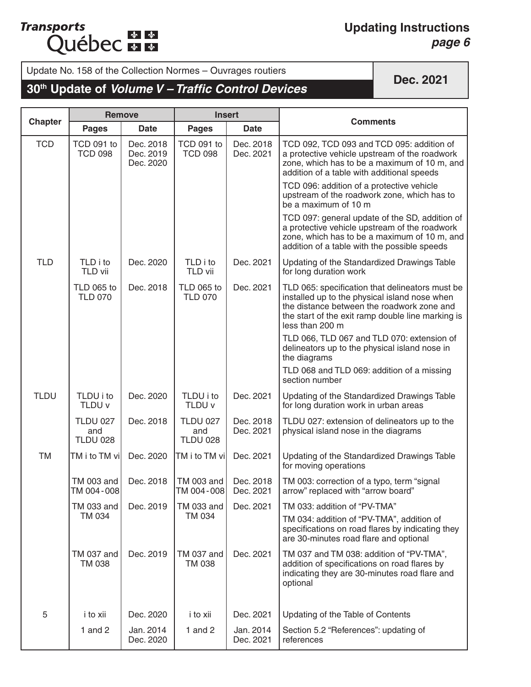#### **Updating Instructions** *page 6*

Update No. 158 of the Collection Normes – Ouvrages routiers

### **30th Update of** *Volume V – Traffic Control Devices*

|                | <b>Remove</b>                             |                                     | <b>Insert</b>                             |                        |                                                                                                                                                                                                                        |
|----------------|-------------------------------------------|-------------------------------------|-------------------------------------------|------------------------|------------------------------------------------------------------------------------------------------------------------------------------------------------------------------------------------------------------------|
| <b>Chapter</b> | <b>Pages</b>                              | <b>Date</b>                         | <b>Pages</b>                              | <b>Date</b>            | <b>Comments</b>                                                                                                                                                                                                        |
| <b>TCD</b>     | TCD 091 to<br><b>TCD 098</b>              | Dec. 2018<br>Dec. 2019<br>Dec. 2020 | TCD 091 to<br><b>TCD 098</b>              | Dec. 2018<br>Dec. 2021 | TCD 092, TCD 093 and TCD 095: addition of<br>a protective vehicle upstream of the roadwork<br>zone, which has to be a maximum of 10 m, and<br>addition of a table with additional speeds                               |
|                |                                           |                                     |                                           |                        | TCD 096: addition of a protective vehicle<br>upstream of the roadwork zone, which has to<br>be a maximum of 10 m                                                                                                       |
|                |                                           |                                     |                                           |                        | TCD 097: general update of the SD, addition of<br>a protective vehicle upstream of the roadwork<br>zone, which has to be a maximum of 10 m, and<br>addition of a table with the possible speeds                        |
| <b>TLD</b>     | TLD i to<br>TLD vii                       | Dec. 2020                           | TLD i to<br>TLD vii                       | Dec. 2021              | Updating of the Standardized Drawings Table<br>for long duration work                                                                                                                                                  |
|                | <b>TLD 065 to</b><br><b>TLD 070</b>       | Dec. 2018                           | <b>TLD 065 to</b><br><b>TLD 070</b>       | Dec. 2021              | TLD 065: specification that delineators must be<br>installed up to the physical island nose when<br>the distance between the roadwork zone and<br>the start of the exit ramp double line marking is<br>less than 200 m |
|                |                                           |                                     |                                           |                        | TLD 066, TLD 067 and TLD 070: extension of<br>delineators up to the physical island nose in<br>the diagrams                                                                                                            |
|                |                                           |                                     |                                           |                        | TLD 068 and TLD 069: addition of a missing<br>section number                                                                                                                                                           |
| <b>TLDU</b>    | TLDU i to<br>TLDU v                       | Dec. 2020                           | TLDU i to<br>TLDU v                       | Dec. 2021              | Updating of the Standardized Drawings Table<br>for long duration work in urban areas                                                                                                                                   |
|                | <b>TLDU 027</b><br>and<br><b>TLDU 028</b> | Dec. 2018                           | <b>TLDU 027</b><br>and<br><b>TLDU 028</b> | Dec. 2018<br>Dec. 2021 | TLDU 027: extension of delineators up to the<br>physical island nose in the diagrams                                                                                                                                   |
| <b>TM</b>      | TM i to TM vi                             | Dec. 2020                           | TM i to TM vi                             | Dec. 2021              | Updating of the Standardized Drawings Table<br>for moving operations                                                                                                                                                   |
|                | TM 003 and<br>TM 004-008                  | Dec. 2018                           | TM 003 and<br>TM 004-008                  | Dec. 2018<br>Dec. 2021 | TM 003: correction of a typo, term "signal<br>arrow" replaced with "arrow board"                                                                                                                                       |
|                | TM 033 and                                | Dec. 2019                           | <b>TM 033 and</b>                         | Dec. 2021              | TM 033: addition of "PV-TMA"                                                                                                                                                                                           |
|                | TM 034                                    |                                     | TM 034                                    |                        | TM 034: addition of "PV-TMA", addition of<br>specifications on road flares by indicating they<br>are 30-minutes road flare and optional                                                                                |
|                | TM 037 and<br><b>TM 038</b>               | Dec. 2019                           | <b>TM 037 and</b><br>TM 038               | Dec. 2021              | TM 037 and TM 038: addition of "PV-TMA",<br>addition of specifications on road flares by<br>indicating they are 30-minutes road flare and<br>optional                                                                  |
| 5              | i to xii                                  | Dec. 2020                           | i to xii                                  | Dec. 2021              | Updating of the Table of Contents                                                                                                                                                                                      |
|                | 1 and $2$                                 | Jan. 2014<br>Dec. 2020              | 1 and $2$                                 | Jan. 2014<br>Dec. 2021 | Section 5.2 "References": updating of<br>references                                                                                                                                                                    |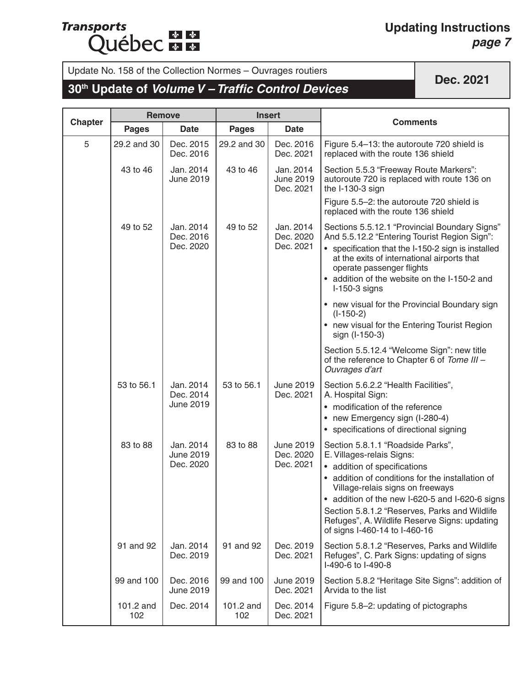## **Transports Québec**

#### **Updating Instructions** *page 7*

# Update No. 158 of the Collection Normes – Ouvrages routiers<br> **30<sup>th</sup> Update of** *Volume V – Traffic Control Devices* **Dec. 2021**

|                | <b>Remove</b>    |                                            |                  | <b>Insert</b>                              |                                                                                                                                                                                                                                                                                                                                                                            |
|----------------|------------------|--------------------------------------------|------------------|--------------------------------------------|----------------------------------------------------------------------------------------------------------------------------------------------------------------------------------------------------------------------------------------------------------------------------------------------------------------------------------------------------------------------------|
| <b>Chapter</b> | <b>Pages</b>     | <b>Date</b>                                | <b>Pages</b>     | <b>Date</b>                                | <b>Comments</b>                                                                                                                                                                                                                                                                                                                                                            |
| 5              | 29.2 and 30      | Dec. 2015<br>Dec. 2016                     | 29.2 and 30      | Dec. 2016<br>Dec. 2021                     | Figure 5.4-13: the autoroute 720 shield is<br>replaced with the route 136 shield                                                                                                                                                                                                                                                                                           |
|                | 43 to 46         | Jan. 2014<br><b>June 2019</b>              | 43 to 46         | Jan. 2014<br>June 2019<br>Dec. 2021        | Section 5.5.3 "Freeway Route Markers":<br>autoroute 720 is replaced with route 136 on<br>the I-130-3 sign<br>Figure 5.5-2: the autoroute 720 shield is                                                                                                                                                                                                                     |
|                |                  |                                            |                  |                                            | replaced with the route 136 shield                                                                                                                                                                                                                                                                                                                                         |
|                | 49 to 52         | Jan. 2014<br>Dec. 2016<br>Dec. 2020        | 49 to 52         | Jan. 2014<br>Dec. 2020<br>Dec. 2021        | Sections 5.5.12.1 "Provincial Boundary Signs"<br>And 5.5.12.2 "Entering Tourist Region Sign":<br>• specification that the I-150-2 sign is installed<br>at the exits of international airports that<br>operate passenger flights<br>• addition of the website on the I-150-2 and<br>$I-150-3$ signs                                                                         |
|                |                  |                                            |                  |                                            | • new visual for the Provincial Boundary sign<br>$(I-150-2)$<br>• new visual for the Entering Tourist Region                                                                                                                                                                                                                                                               |
|                |                  |                                            |                  |                                            | sign (I-150-3)                                                                                                                                                                                                                                                                                                                                                             |
|                |                  |                                            |                  |                                            | Section 5.5.12.4 "Welcome Sign": new title<br>of the reference to Chapter 6 of Tome III -<br>Ouvrages d'art                                                                                                                                                                                                                                                                |
|                | 53 to 56.1       | Jan. 2014<br>Dec. 2014<br>June 2019        | 53 to 56.1       | June 2019<br>Dec. 2021                     | Section 5.6.2.2 "Health Facilities",<br>A. Hospital Sign:<br>• modification of the reference<br>• new Emergency sign (I-280-4)<br>• specifications of directional signing                                                                                                                                                                                                  |
|                | 83 to 88         | Jan. 2014<br><b>June 2019</b><br>Dec. 2020 | 83 to 88         | <b>June 2019</b><br>Dec. 2020<br>Dec. 2021 | Section 5.8.1.1 "Roadside Parks",<br>E. Villages-relais Signs:<br>• addition of specifications<br>• addition of conditions for the installation of<br>Village-relais signs on freeways<br>addition of the new I-620-5 and I-620-6 signs<br>Section 5.8.1.2 "Reserves, Parks and Wildlife<br>Refuges", A. Wildlife Reserve Signs: updating<br>of signs I-460-14 to I-460-16 |
|                | 91 and 92        | Jan. 2014<br>Dec. 2019                     | 91 and 92        | Dec. 2019<br>Dec. 2021                     | Section 5.8.1.2 "Reserves, Parks and Wildlife<br>Refuges", C. Park Signs: updating of signs<br>I-490-6 to I-490-8                                                                                                                                                                                                                                                          |
|                | 99 and 100       | Dec. 2016<br><b>June 2019</b>              | 99 and 100       | <b>June 2019</b><br>Dec. 2021              | Section 5.8.2 "Heritage Site Signs": addition of<br>Arvida to the list                                                                                                                                                                                                                                                                                                     |
|                | 101.2 and<br>102 | Dec. 2014                                  | 101.2 and<br>102 | Dec. 2014<br>Dec. 2021                     | Figure 5.8-2: updating of pictographs                                                                                                                                                                                                                                                                                                                                      |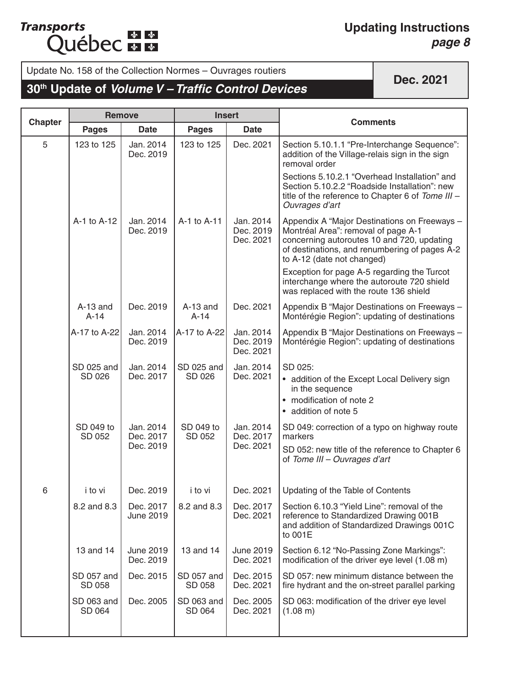#### **Updating Instructions** *page 8*

Update No. 158 of the Collection Normes – Ouvrages routiers

### **30th Update of** *Volume V – Traffic Control Devices*

|                | <b>Remove</b>        |                                     | <b>Insert</b>        |                                     | <b>Comments</b>                                                                                                                                                                                                  |
|----------------|----------------------|-------------------------------------|----------------------|-------------------------------------|------------------------------------------------------------------------------------------------------------------------------------------------------------------------------------------------------------------|
| <b>Chapter</b> | <b>Pages</b>         | <b>Date</b>                         | <b>Pages</b>         | <b>Date</b>                         |                                                                                                                                                                                                                  |
| 5              | 123 to 125           | Jan. 2014<br>Dec. 2019              | 123 to 125           | Dec. 2021                           | Section 5.10.1.1 "Pre-Interchange Sequence":<br>addition of the Village-relais sign in the sign<br>removal order                                                                                                 |
|                |                      |                                     |                      |                                     | Sections 5.10.2.1 "Overhead Installation" and<br>Section 5.10.2.2 "Roadside Installation": new<br>title of the reference to Chapter 6 of Tome III -<br>Ouvrages d'art                                            |
|                | A-1 to A-12          | Jan. 2014<br>Dec. 2019              | A-1 to A-11          | Jan. 2014<br>Dec. 2019<br>Dec. 2021 | Appendix A "Major Destinations on Freeways -<br>Montréal Area": removal of page A-1<br>concerning autoroutes 10 and 720, updating<br>of destinations, and renumbering of pages A-2<br>to A-12 (date not changed) |
|                |                      |                                     |                      |                                     | Exception for page A-5 regarding the Turcot<br>interchange where the autoroute 720 shield<br>was replaced with the route 136 shield                                                                              |
|                | $A-13$ and<br>$A-14$ | Dec. 2019                           | $A-13$ and<br>$A-14$ | Dec. 2021                           | Appendix B "Major Destinations on Freeways -<br>Montérégie Region": updating of destinations                                                                                                                     |
|                | A-17 to A-22         | Jan. 2014<br>Dec. 2019              | A-17 to A-22         | Jan. 2014<br>Dec. 2019<br>Dec. 2021 | Appendix B "Major Destinations on Freeways -<br>Montérégie Region": updating of destinations                                                                                                                     |
|                | SD 025 and<br>SD 026 | Jan. 2014<br>Dec. 2017              | SD 025 and<br>SD 026 | Jan. 2014<br>Dec. 2021              | SD 025:<br>• addition of the Except Local Delivery sign<br>in the sequence<br>• modification of note 2<br>• addition of note 5                                                                                   |
|                | SD 049 to<br>SD 052  | Jan. 2014<br>Dec. 2017<br>Dec. 2019 | SD 049 to<br>SD 052  | Jan. 2014<br>Dec. 2017<br>Dec. 2021 | SD 049: correction of a typo on highway route<br>markers<br>SD 052: new title of the reference to Chapter 6<br>of Tome III - Ouvrages d'art                                                                      |
| 6              | i to vi              | Dec. 2019                           | i to vi              | Dec. 2021                           | Updating of the Table of Contents                                                                                                                                                                                |
|                | 8.2 and 8.3          | Dec. 2017<br><b>June 2019</b>       | 8.2 and 8.3          | Dec. 2017<br>Dec. 2021              | Section 6.10.3 "Yield Line": removal of the<br>reference to Standardized Drawing 001B<br>and addition of Standardized Drawings 001C<br>to 001E                                                                   |
|                | 13 and 14            | <b>June 2019</b><br>Dec. 2019       | 13 and 14            | <b>June 2019</b><br>Dec. 2021       | Section 6.12 "No-Passing Zone Markings":<br>modification of the driver eye level (1.08 m)                                                                                                                        |
|                | SD 057 and<br>SD 058 | Dec. 2015                           | SD 057 and<br>SD 058 | Dec. 2015<br>Dec. 2021              | SD 057; new minimum distance between the<br>fire hydrant and the on-street parallel parking                                                                                                                      |
|                | SD 063 and<br>SD 064 | Dec. 2005                           | SD 063 and<br>SD 064 | Dec. 2005<br>Dec. 2021              | SD 063: modification of the driver eye level<br>(1.08 m)                                                                                                                                                         |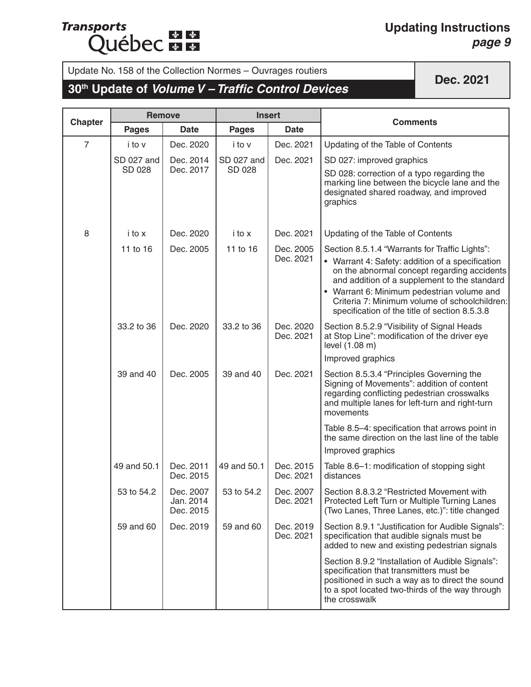## **Transports Québec + +**

#### **Updating Instructions** *page 9*

# Update No. 158 of the Collection Normes – Ouvrages routiers<br> **30<sup>th</sup> Update of** *Volume V – Traffic Control Devices* **Dec. 2021**

|                | <b>Remove</b> |                                     | <b>Insert</b> |                        |                                                                                                                                                                                                                                                                                                 |
|----------------|---------------|-------------------------------------|---------------|------------------------|-------------------------------------------------------------------------------------------------------------------------------------------------------------------------------------------------------------------------------------------------------------------------------------------------|
| <b>Chapter</b> | <b>Pages</b>  | <b>Date</b>                         | <b>Pages</b>  | <b>Date</b>            | <b>Comments</b>                                                                                                                                                                                                                                                                                 |
| $\overline{7}$ | i to v        | Dec. 2020                           | i to v        | Dec. 2021              | Updating of the Table of Contents                                                                                                                                                                                                                                                               |
|                | SD 027 and    | Dec. 2014                           | SD 027 and    | Dec. 2021              | SD 027: improved graphics                                                                                                                                                                                                                                                                       |
|                | SD 028        | Dec. 2017                           | SD 028        |                        | SD 028: correction of a typo regarding the<br>marking line between the bicycle lane and the<br>designated shared roadway, and improved<br>graphics                                                                                                                                              |
| 8              | i to x        | Dec. 2020                           | i to x        | Dec. 2021              | Updating of the Table of Contents                                                                                                                                                                                                                                                               |
|                | 11 to 16      | Dec. 2005                           | 11 to 16      | Dec. 2005              | Section 8.5.1.4 "Warrants for Traffic Lights":                                                                                                                                                                                                                                                  |
|                |               |                                     |               | Dec. 2021              | • Warrant 4: Safety: addition of a specification<br>on the abnormal concept regarding accidents<br>and addition of a supplement to the standard<br>• Warrant 6: Minimum pedestrian volume and<br>Criteria 7: Minimum volume of schoolchildren:<br>specification of the title of section 8.5.3.8 |
|                | 33.2 to 36    | Dec. 2020                           | 33.2 to 36    | Dec. 2020<br>Dec. 2021 | Section 8.5.2.9 "Visibility of Signal Heads<br>at Stop Line": modification of the driver eye<br>level (1.08 m)                                                                                                                                                                                  |
|                |               |                                     |               |                        | Improved graphics                                                                                                                                                                                                                                                                               |
|                | 39 and 40     | Dec. 2005                           | 39 and 40     | Dec. 2021              | Section 8.5.3.4 "Principles Governing the<br>Signing of Movements": addition of content<br>regarding conflicting pedestrian crosswalks<br>and multiple lanes for left-turn and right-turn<br>movements                                                                                          |
|                |               |                                     |               |                        | Table 8.5-4: specification that arrows point in<br>the same direction on the last line of the table                                                                                                                                                                                             |
|                |               |                                     |               |                        | Improved graphics                                                                                                                                                                                                                                                                               |
|                | 49 and 50.1   | Dec. 2011<br>Dec. 2015              | 49 and 50.1   | Dec. 2015<br>Dec. 2021 | Table 8.6-1: modification of stopping sight<br>distances                                                                                                                                                                                                                                        |
|                | 53 to 54.2    | Dec. 2007<br>Jan. 2014<br>Dec. 2015 | 53 to 54.2    | Dec. 2007<br>Dec. 2021 | Section 8.8.3.2 "Restricted Movement with<br>Protected Left Turn or Multiple Turning Lanes<br>(Two Lanes, Three Lanes, etc.)": title changed                                                                                                                                                    |
|                | 59 and 60     | Dec. 2019                           | 59 and 60     | Dec. 2019<br>Dec. 2021 | Section 8.9.1 "Justification for Audible Signals":<br>specification that audible signals must be<br>added to new and existing pedestrian signals                                                                                                                                                |
|                |               |                                     |               |                        | Section 8.9.2 "Installation of Audible Signals":<br>specification that transmitters must be<br>positioned in such a way as to direct the sound<br>to a spot located two-thirds of the way through<br>the crosswalk                                                                              |